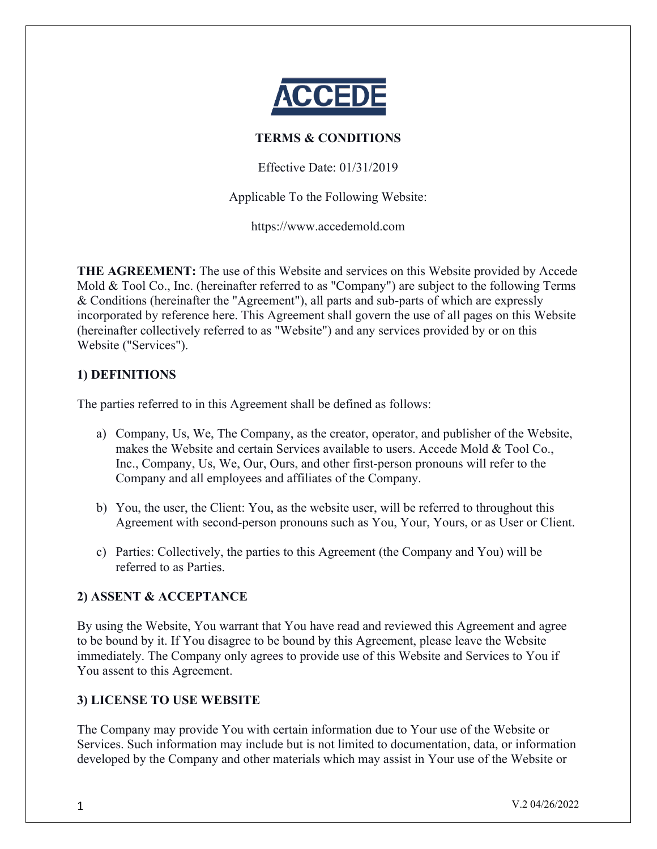

## **TERMS & CONDITIONS**

Effective Date: 01/31/2019

Applicable To the Following Website:

https://www.accedemold.com

**THE AGREEMENT:** The use of this Website and services on this Website provided by Accede Mold & Tool Co., Inc. (hereinafter referred to as "Company") are subject to the following Terms & Conditions (hereinafter the "Agreement"), all parts and sub-parts of which are expressly incorporated by reference here. This Agreement shall govern the use of all pages on this Website (hereinafter collectively referred to as "Website") and any services provided by or on this Website ("Services").

## **1) DEFINITIONS**

The parties referred to in this Agreement shall be defined as follows:

- a) Company, Us, We, The Company, as the creator, operator, and publisher of the Website, makes the Website and certain Services available to users. Accede Mold & Tool Co., Inc., Company, Us, We, Our, Ours, and other first-person pronouns will refer to the Company and all employees and affiliates of the Company.
- b) You, the user, the Client: You, as the website user, will be referred to throughout this Agreement with second-person pronouns such as You, Your, Yours, or as User or Client.
- c) Parties: Collectively, the parties to this Agreement (the Company and You) will be referred to as Parties.

## **2) ASSENT & ACCEPTANCE**

By using the Website, You warrant that You have read and reviewed this Agreement and agree to be bound by it. If You disagree to be bound by this Agreement, please leave the Website immediately. The Company only agrees to provide use of this Website and Services to You if You assent to this Agreement.

## **3) LICENSE TO USE WEBSITE**

The Company may provide You with certain information due to Your use of the Website or Services. Such information may include but is not limited to documentation, data, or information developed by the Company and other materials which may assist in Your use of the Website or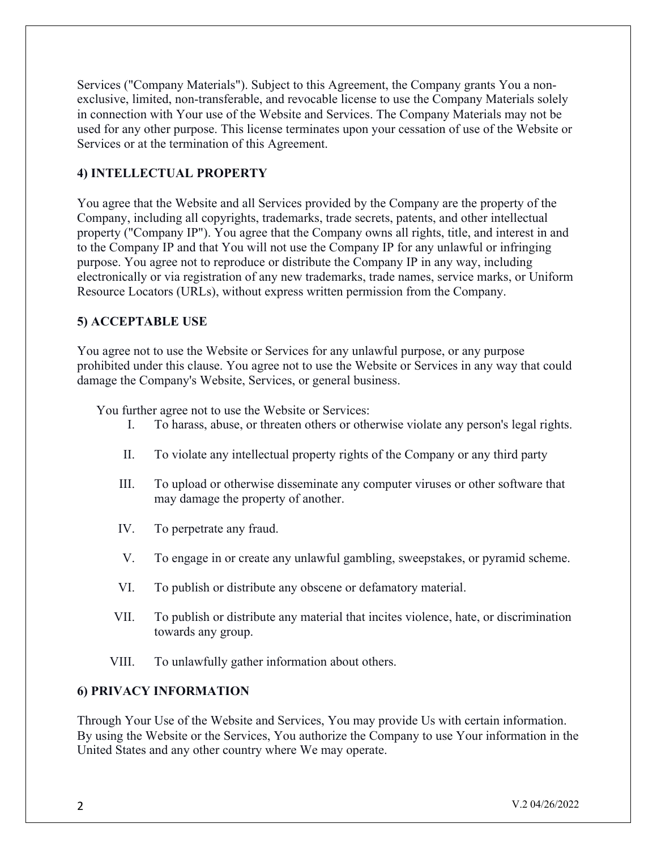Services ("Company Materials"). Subject to this Agreement, the Company grants You a nonexclusive, limited, non-transferable, and revocable license to use the Company Materials solely in connection with Your use of the Website and Services. The Company Materials may not be used for any other purpose. This license terminates upon your cessation of use of the Website or Services or at the termination of this Agreement.

## **4) INTELLECTUAL PROPERTY**

You agree that the Website and all Services provided by the Company are the property of the Company, including all copyrights, trademarks, trade secrets, patents, and other intellectual property ("Company IP"). You agree that the Company owns all rights, title, and interest in and to the Company IP and that You will not use the Company IP for any unlawful or infringing purpose. You agree not to reproduce or distribute the Company IP in any way, including electronically or via registration of any new trademarks, trade names, service marks, or Uniform Resource Locators (URLs), without express written permission from the Company.

## **5) ACCEPTABLE USE**

You agree not to use the Website or Services for any unlawful purpose, or any purpose prohibited under this clause. You agree not to use the Website or Services in any way that could damage the Company's Website, Services, or general business.

You further agree not to use the Website or Services:

- I. To harass, abuse, or threaten others or otherwise violate any person's legal rights.
- II. To violate any intellectual property rights of the Company or any third party
- III. To upload or otherwise disseminate any computer viruses or other software that may damage the property of another.
- IV. To perpetrate any fraud.
- V. To engage in or create any unlawful gambling, sweepstakes, or pyramid scheme.
- VI. To publish or distribute any obscene or defamatory material.
- VII. To publish or distribute any material that incites violence, hate, or discrimination towards any group.
- VIII. To unlawfully gather information about others.

## **6) PRIVACY INFORMATION**

Through Your Use of the Website and Services, You may provide Us with certain information. By using the Website or the Services, You authorize the Company to use Your information in the United States and any other country where We may operate.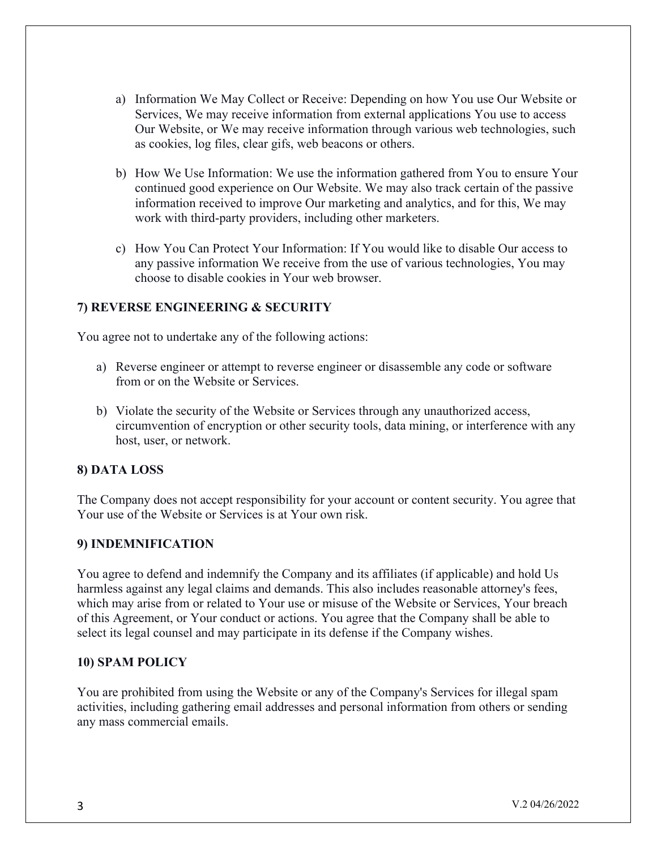- a) Information We May Collect or Receive: Depending on how You use Our Website or Services, We may receive information from external applications You use to access Our Website, or We may receive information through various web technologies, such as cookies, log files, clear gifs, web beacons or others.
- b) How We Use Information: We use the information gathered from You to ensure Your continued good experience on Our Website. We may also track certain of the passive information received to improve Our marketing and analytics, and for this, We may work with third-party providers, including other marketers.
- c) How You Can Protect Your Information: If You would like to disable Our access to any passive information We receive from the use of various technologies, You may choose to disable cookies in Your web browser.

## **7) REVERSE ENGINEERING & SECURITY**

You agree not to undertake any of the following actions:

- a) Reverse engineer or attempt to reverse engineer or disassemble any code or software from or on the Website or Services.
- b) Violate the security of the Website or Services through any unauthorized access, circumvention of encryption or other security tools, data mining, or interference with any host, user, or network.

## **8) DATA LOSS**

The Company does not accept responsibility for your account or content security. You agree that Your use of the Website or Services is at Your own risk.

#### **9) INDEMNIFICATION**

You agree to defend and indemnify the Company and its affiliates (if applicable) and hold Us harmless against any legal claims and demands. This also includes reasonable attorney's fees, which may arise from or related to Your use or misuse of the Website or Services, Your breach of this Agreement, or Your conduct or actions. You agree that the Company shall be able to select its legal counsel and may participate in its defense if the Company wishes.

#### **10) SPAM POLICY**

You are prohibited from using the Website or any of the Company's Services for illegal spam activities, including gathering email addresses and personal information from others or sending any mass commercial emails.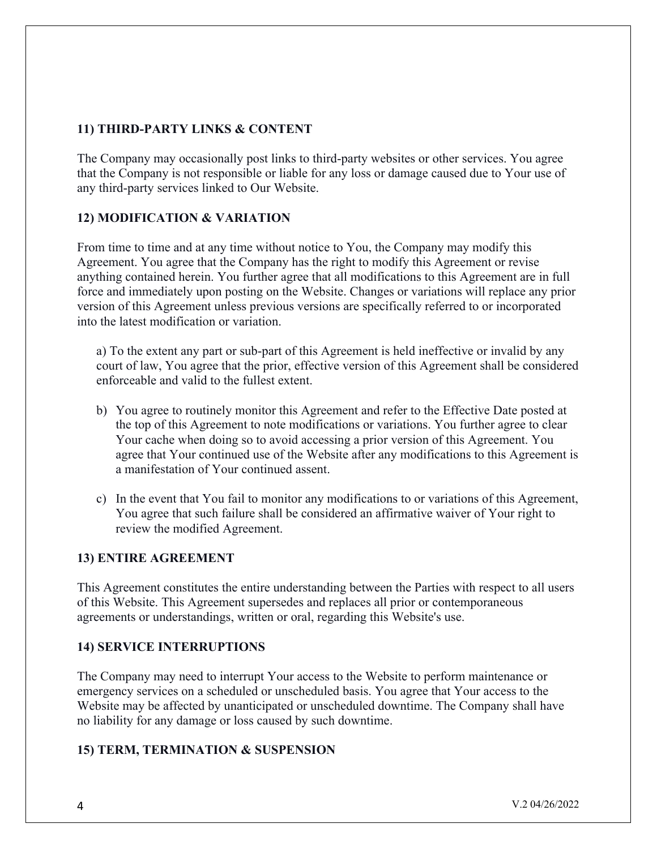# **11) THIRD-PARTY LINKS & CONTENT**

The Company may occasionally post links to third-party websites or other services. You agree that the Company is not responsible or liable for any loss or damage caused due to Your use of any third-party services linked to Our Website.

# **12) MODIFICATION & VARIATION**

From time to time and at any time without notice to You, the Company may modify this Agreement. You agree that the Company has the right to modify this Agreement or revise anything contained herein. You further agree that all modifications to this Agreement are in full force and immediately upon posting on the Website. Changes or variations will replace any prior version of this Agreement unless previous versions are specifically referred to or incorporated into the latest modification or variation.

a) To the extent any part or sub-part of this Agreement is held ineffective or invalid by any court of law, You agree that the prior, effective version of this Agreement shall be considered enforceable and valid to the fullest extent.

- b) You agree to routinely monitor this Agreement and refer to the Effective Date posted at the top of this Agreement to note modifications or variations. You further agree to clear Your cache when doing so to avoid accessing a prior version of this Agreement. You agree that Your continued use of the Website after any modifications to this Agreement is a manifestation of Your continued assent.
- c) In the event that You fail to monitor any modifications to or variations of this Agreement, You agree that such failure shall be considered an affirmative waiver of Your right to review the modified Agreement.

## **13) ENTIRE AGREEMENT**

This Agreement constitutes the entire understanding between the Parties with respect to all users of this Website. This Agreement supersedes and replaces all prior or contemporaneous agreements or understandings, written or oral, regarding this Website's use.

## **14) SERVICE INTERRUPTIONS**

The Company may need to interrupt Your access to the Website to perform maintenance or emergency services on a scheduled or unscheduled basis. You agree that Your access to the Website may be affected by unanticipated or unscheduled downtime. The Company shall have no liability for any damage or loss caused by such downtime.

## **15) TERM, TERMINATION & SUSPENSION**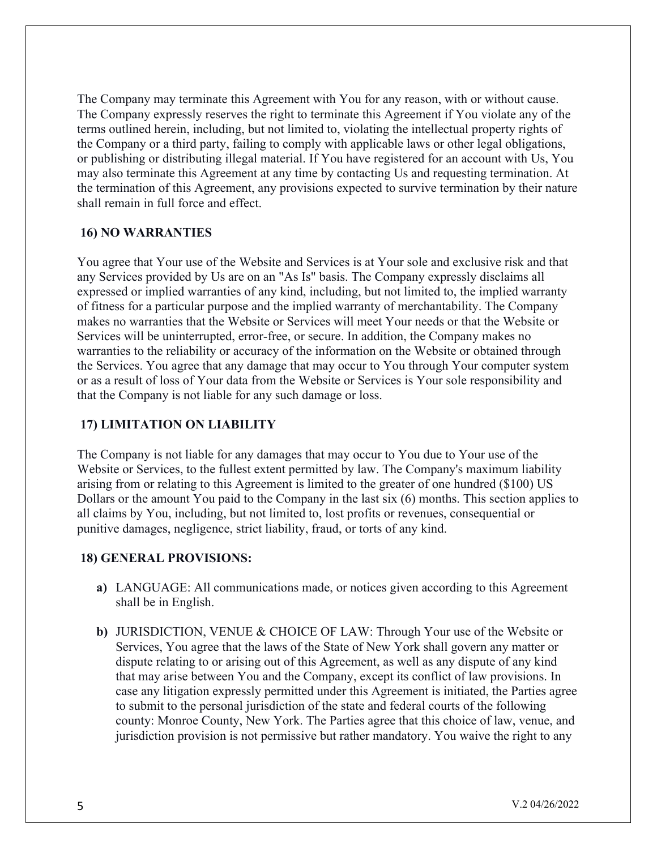The Company may terminate this Agreement with You for any reason, with or without cause. The Company expressly reserves the right to terminate this Agreement if You violate any of the terms outlined herein, including, but not limited to, violating the intellectual property rights of the Company or a third party, failing to comply with applicable laws or other legal obligations, or publishing or distributing illegal material. If You have registered for an account with Us, You may also terminate this Agreement at any time by contacting Us and requesting termination. At the termination of this Agreement, any provisions expected to survive termination by their nature shall remain in full force and effect.

## **16) NO WARRANTIES**

You agree that Your use of the Website and Services is at Your sole and exclusive risk and that any Services provided by Us are on an "As Is" basis. The Company expressly disclaims all expressed or implied warranties of any kind, including, but not limited to, the implied warranty of fitness for a particular purpose and the implied warranty of merchantability. The Company makes no warranties that the Website or Services will meet Your needs or that the Website or Services will be uninterrupted, error-free, or secure. In addition, the Company makes no warranties to the reliability or accuracy of the information on the Website or obtained through the Services. You agree that any damage that may occur to You through Your computer system or as a result of loss of Your data from the Website or Services is Your sole responsibility and that the Company is not liable for any such damage or loss.

## **17) LIMITATION ON LIABILITY**

The Company is not liable for any damages that may occur to You due to Your use of the Website or Services, to the fullest extent permitted by law. The Company's maximum liability arising from or relating to this Agreement is limited to the greater of one hundred (\$100) US Dollars or the amount You paid to the Company in the last six (6) months. This section applies to all claims by You, including, but not limited to, lost profits or revenues, consequential or punitive damages, negligence, strict liability, fraud, or torts of any kind.

## **18) GENERAL PROVISIONS:**

- **a)** LANGUAGE: All communications made, or notices given according to this Agreement shall be in English.
- **b)** JURISDICTION, VENUE & CHOICE OF LAW: Through Your use of the Website or Services, You agree that the laws of the State of New York shall govern any matter or dispute relating to or arising out of this Agreement, as well as any dispute of any kind that may arise between You and the Company, except its conflict of law provisions. In case any litigation expressly permitted under this Agreement is initiated, the Parties agree to submit to the personal jurisdiction of the state and federal courts of the following county: Monroe County, New York. The Parties agree that this choice of law, venue, and jurisdiction provision is not permissive but rather mandatory. You waive the right to any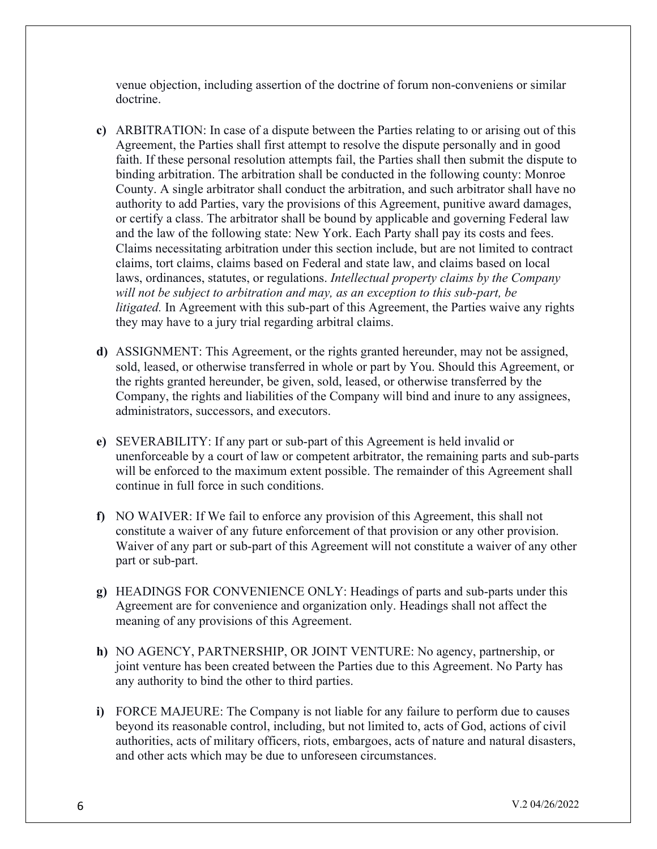venue objection, including assertion of the doctrine of forum non-conveniens or similar doctrine.

- **c)** ARBITRATION: In case of a dispute between the Parties relating to or arising out of this Agreement, the Parties shall first attempt to resolve the dispute personally and in good faith. If these personal resolution attempts fail, the Parties shall then submit the dispute to binding arbitration. The arbitration shall be conducted in the following county: Monroe County. A single arbitrator shall conduct the arbitration, and such arbitrator shall have no authority to add Parties, vary the provisions of this Agreement, punitive award damages, or certify a class. The arbitrator shall be bound by applicable and governing Federal law and the law of the following state: New York. Each Party shall pay its costs and fees. Claims necessitating arbitration under this section include, but are not limited to contract claims, tort claims, claims based on Federal and state law, and claims based on local laws, ordinances, statutes, or regulations. *Intellectual property claims by the Company will not be subject to arbitration and may, as an exception to this sub-part, be litigated.* In Agreement with this sub-part of this Agreement, the Parties waive any rights they may have to a jury trial regarding arbitral claims.
- **d)** ASSIGNMENT: This Agreement, or the rights granted hereunder, may not be assigned, sold, leased, or otherwise transferred in whole or part by You. Should this Agreement, or the rights granted hereunder, be given, sold, leased, or otherwise transferred by the Company, the rights and liabilities of the Company will bind and inure to any assignees, administrators, successors, and executors.
- **e)** SEVERABILITY: If any part or sub-part of this Agreement is held invalid or unenforceable by a court of law or competent arbitrator, the remaining parts and sub-parts will be enforced to the maximum extent possible. The remainder of this Agreement shall continue in full force in such conditions.
- **f)** NO WAIVER: If We fail to enforce any provision of this Agreement, this shall not constitute a waiver of any future enforcement of that provision or any other provision. Waiver of any part or sub-part of this Agreement will not constitute a waiver of any other part or sub-part.
- **g)** HEADINGS FOR CONVENIENCE ONLY: Headings of parts and sub-parts under this Agreement are for convenience and organization only. Headings shall not affect the meaning of any provisions of this Agreement.
- **h)** NO AGENCY, PARTNERSHIP, OR JOINT VENTURE: No agency, partnership, or joint venture has been created between the Parties due to this Agreement. No Party has any authority to bind the other to third parties.
- **i)** FORCE MAJEURE: The Company is not liable for any failure to perform due to causes beyond its reasonable control, including, but not limited to, acts of God, actions of civil authorities, acts of military officers, riots, embargoes, acts of nature and natural disasters, and other acts which may be due to unforeseen circumstances.